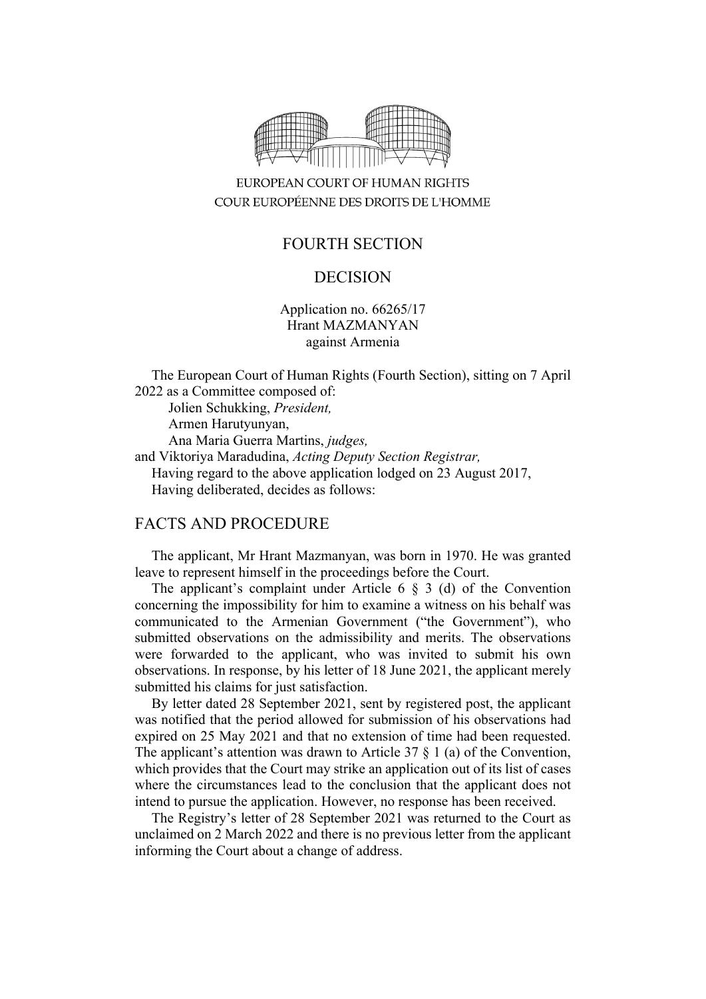

## EUROPEAN COURT OF HUMAN RIGHTS COUR EUROPÉENNE DES DROITS DE L'HOMME

# FOURTH SECTION

#### DECISION

Application no. 66265/17 Hrant MAZMANYAN against Armenia

The European Court of Human Rights (Fourth Section), sitting on 7 April 2022 as a Committee composed of:

Jolien Schukking, *President,* Armen Harutyunyan, Ana Maria Guerra Martins, *judges,* and Viktoriya Maradudina, *Acting Deputy Section Registrar,* Having regard to the above application lodged on 23 August 2017, Having deliberated, decides as follows:

#### FACTS AND PROCEDURE

The applicant, Mr Hrant Mazmanyan, was born in 1970. He was granted leave to represent himself in the proceedings before the Court.

The applicant's complaint under Article 6 § 3 (d) of the Convention concerning the impossibility for him to examine a witness on his behalf was communicated to the Armenian Government ("the Government"), who submitted observations on the admissibility and merits. The observations were forwarded to the applicant, who was invited to submit his own observations. In response, by his letter of 18 June 2021, the applicant merely submitted his claims for just satisfaction.

By letter dated 28 September 2021, sent by registered post, the applicant was notified that the period allowed for submission of his observations had expired on 25 May 2021 and that no extension of time had been requested. The applicant's attention was drawn to Article 37  $\S$  1 (a) of the Convention, which provides that the Court may strike an application out of its list of cases where the circumstances lead to the conclusion that the applicant does not intend to pursue the application. However, no response has been received.

The Registry's letter of 28 September 2021 was returned to the Court as unclaimed on 2 March 2022 and there is no previous letter from the applicant informing the Court about a change of address.